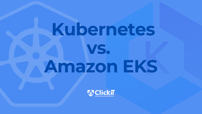# **Kubernetes vs. Amazon EKS**



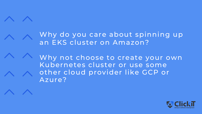

#### Why do you care about spinning up an EKS cluster on Amazon?



Why not choose to create your own Kubernetes cluster or use some other cloud provider like GCP or Azure?

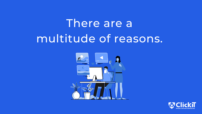#### There are a multitude of reasons.



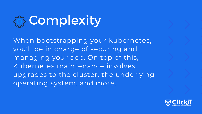#### **@ Complexity**

When bootstrapping your Kubernetes, you'll be in charge of securing and managing your app. On top of this, Kubernetes maintenance involves upgrades to the cluster, the underlying operating system, and more.

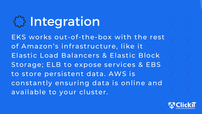#### **E3** Integration

EKS works out-of-the-box with the rest of Amazon's infrastructure, like it Elastic Load Balancers & Elastic Block Storage; ELB to expose services & EBS to store persistent data. AWS is constantly ensuring data is online and available to your cluster.

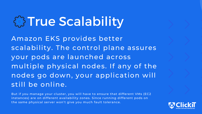#### **EXTrue Scalability**

Amazon EKS provides better scalability. The control plane assures your pods are launched across multiple physical nodes. If any of the nodes go down, your application will still be online.

But if you manage your cluster, you will have to ensure that different VMs (EC2 instances) are on different availability zones. Since running different pods on the same physical server won't give you much fault tolerance.

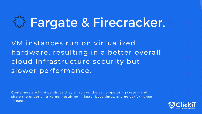VM instances run on virtualized hardware, resulting in a better overall cloud infrastructure security but slower performance.

### Fargate & Firecracker.

Containers are lightweight as they all run on the same operating system and share the underlying kernel, resulting in faster boot times, and no performance impact!